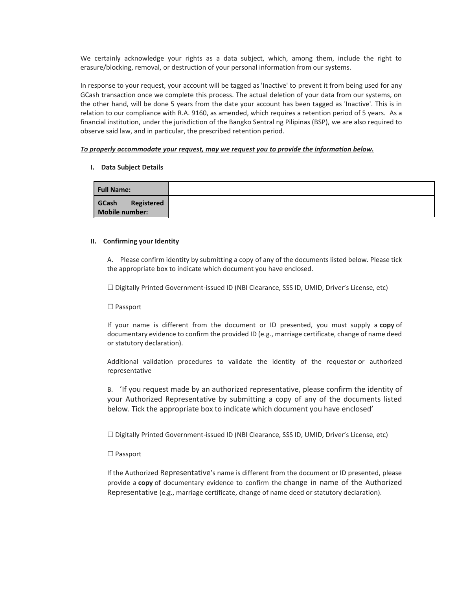We certainly acknowledge your rights as a data subject, which, among them, include the right to erasure/blocking, removal, or destruction of your personal information from our systems.

In response to your request, your account will be tagged as 'Inactive' to prevent it from being used for any GCash transaction once we complete this process. The actual deletion of your data from our systems, on the other hand, will be done 5 years from the date your account has been tagged as 'Inactive'. This is in relation to our compliance with R.A. 9160, as amended, which requires a retention period of 5 years. As a financial institution, under the jurisdiction of the Bangko Sentral ng Pilipinas (BSP), we are also required to observe said law, and in particular, the prescribed retention period.

## *To properly accommodate your request, may we request you to provide the information below.*

## **I. Data Subject Details**

| <b>Full Name:</b>                     |  |
|---------------------------------------|--|
| GCash<br>Registered<br>Mobile number: |  |

### **II. Confirming your Identity**

A. Please confirm identity by submitting a copy of any of the documents listed below. Please tick the appropriate box to indicate which document you have enclosed.

☐ Digitally Printed Government-issued ID (NBI Clearance, SSS ID, UMID, Driver's License, etc)

## ☐ Passport

If your name is different from the document or ID presented, you must supply a **copy** of documentary evidence to confirm the provided ID (e.g., marriage certificate, change of name deed or statutory declaration).

Additional validation procedures to validate the identity of the requestor or authorized representative

B. 'If you request made by an authorized representative, please confirm the identity of your Authorized Representative by submitting a copy of any of the documents listed below. Tick the appropriate box to indicate which document you have enclosed'

☐ Digitally Printed Government-issued ID (NBI Clearance, SSS ID, UMID, Driver's License, etc)

## ☐ Passport

If the Authorized Representative's name is different from the document or ID presented, please provide a **copy** of documentary evidence to confirm the change in name of the Authorized Representative (e.g., marriage certificate, change of name deed or statutory declaration).